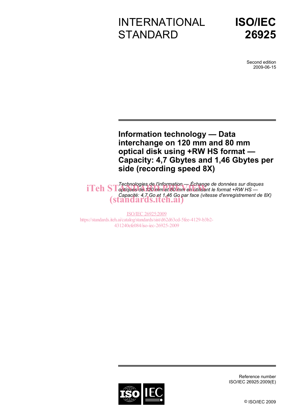# INTERNATIONAL **STANDARD**



Second edition 2009-06-15

## **Information technology — Data interchange on 120 mm and 80 mm optical disk using +RW HS format — Capacity: 4,7 Gbytes and 1,46 Gbytes per side (recording speed 8X)**

*Technologies de l'information — Échange de données sur disques*  **iTeh ST** rechnologies de unformation — Echange de donnees sur disquirement **ST** optiques de 120 mm et 80 mm en utilisant le format +RW HS *Capacité: 4,7 Go et 1,46 Go par face (vitesse d'enregistrement de 8X)*  (standards.iteh.ai)

ISO/IEC 26925:2009 https://standards.iteh.ai/catalog/standards/sist/d62d63cd-5fee-4129-b3b2- 431240efe084/iso-iec-26925-2009



Reference number ISO/IEC 26925:2009(E)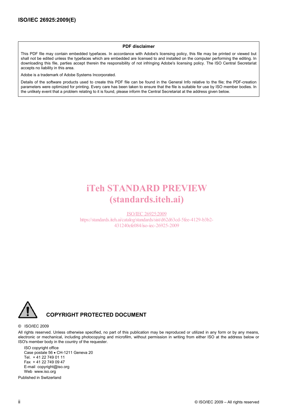#### **PDF disclaimer**

This PDF file may contain embedded typefaces. In accordance with Adobe's licensing policy, this file may be printed or viewed but shall not be edited unless the typefaces which are embedded are licensed to and installed on the computer performing the editing. In downloading this file, parties accept therein the responsibility of not infringing Adobe's licensing policy. The ISO Central Secretariat accepts no liability in this area.

Adobe is a trademark of Adobe Systems Incorporated.

Details of the software products used to create this PDF file can be found in the General Info relative to the file; the PDF-creation parameters were optimized for printing. Every care has been taken to ensure that the file is suitable for use by ISO member bodies. In the unlikely event that a problem relating to it is found, please inform the Central Secretariat at the address given below.

## iTeh STANDARD PREVIEW (standards.iteh.ai)

ISO/IEC 26925:2009 https://standards.iteh.ai/catalog/standards/sist/d62d63cd-5fee-4129-b3b2- 431240efe084/iso-iec-26925-2009



#### **COPYRIGHT PROTECTED DOCUMENT**

#### © ISO/IEC 2009

All rights reserved. Unless otherwise specified, no part of this publication may be reproduced or utilized in any form or by any means, electronic or mechanical, including photocopying and microfilm, without permission in writing from either ISO at the address below or ISO's member body in the country of the requester.

ISO copyright office Case postale 56 • CH-1211 Geneva 20 Tel. + 41 22 749 01 11 Fax + 41 22 749 09 47 E-mail copyright@iso.org Web www.iso.org

Published in Switzerland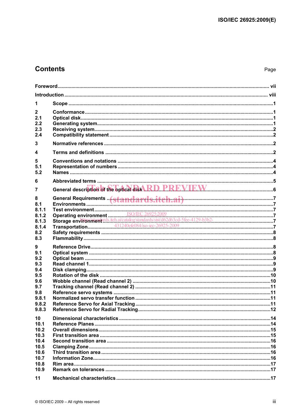## **Contents**

| 1                                                                                    |  |
|--------------------------------------------------------------------------------------|--|
| 2<br>2.1<br>2.2<br>2.3<br>2.4                                                        |  |
| 3                                                                                    |  |
| 4                                                                                    |  |
| 5<br>5.1<br>5.2                                                                      |  |
| 6                                                                                    |  |
| 7                                                                                    |  |
| 8<br>8.1<br>8.1.1<br>8.1.2<br>8.1.3<br>8.1.4<br>8.2<br>8.3                           |  |
| 9<br>9.1<br>9.2<br>9.3<br>9.4<br>9.5<br>9.6<br>9.7<br>9.8<br>9.8.1<br>9.8.2<br>9.8.3 |  |
| 10<br>10.1<br>10.2<br>10.3<br>10.4<br>10.5<br>10.6<br>10.7<br>10.8<br>10.9<br>11     |  |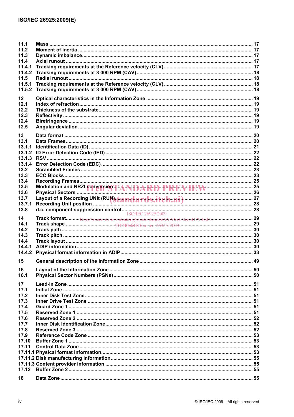| 11.1   |                                                      |  |
|--------|------------------------------------------------------|--|
| 11.2   |                                                      |  |
| 11.3   |                                                      |  |
| 11.4   |                                                      |  |
| 11.4.1 |                                                      |  |
| 11.4.2 |                                                      |  |
| 11.5   |                                                      |  |
| 11.5.1 |                                                      |  |
| 11.5.2 |                                                      |  |
| 12     |                                                      |  |
| 12.1   |                                                      |  |
| 12.2   |                                                      |  |
| 12.3   |                                                      |  |
| 12.4   |                                                      |  |
| 12.5   |                                                      |  |
|        |                                                      |  |
| 13     |                                                      |  |
| 13.1   |                                                      |  |
| 13.1.1 |                                                      |  |
| 13.1.2 |                                                      |  |
| 13.1.3 |                                                      |  |
| 13.1.4 |                                                      |  |
| 13.2   |                                                      |  |
| 13.3   |                                                      |  |
| 13.4   |                                                      |  |
| 13.5   | Modulation and NRZI conversion TANDARD PREVIEW EW 25 |  |
| 13.6   |                                                      |  |
| 13.7   |                                                      |  |
| 13.7.1 |                                                      |  |
| 13.8   |                                                      |  |
| 14     |                                                      |  |
| 14.1   |                                                      |  |
| 14.2   |                                                      |  |
| 14.3   |                                                      |  |
| 14.4   |                                                      |  |
| 14.4.1 |                                                      |  |
| 14.4.2 |                                                      |  |
|        |                                                      |  |
| 15     |                                                      |  |
| 16     |                                                      |  |
| 16.1   |                                                      |  |
|        |                                                      |  |
| 17     |                                                      |  |
| 17.1   |                                                      |  |
| 17.2   |                                                      |  |
| 17.3   |                                                      |  |
| 17.4   |                                                      |  |
| 17.5   |                                                      |  |
| 17.6   |                                                      |  |
| 17.7   |                                                      |  |
| 17.8   |                                                      |  |
| 17.9   |                                                      |  |
| 17.10  |                                                      |  |
| 17.11  |                                                      |  |
|        |                                                      |  |
|        |                                                      |  |
|        |                                                      |  |
| 17.12  |                                                      |  |
|        |                                                      |  |
| 18     |                                                      |  |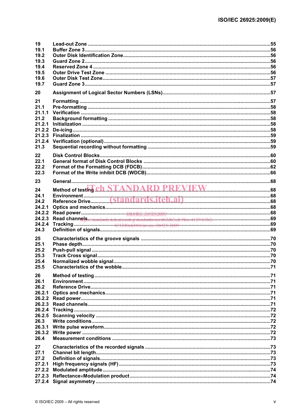| 19               |                                                                                                                                                                                                                                |  |
|------------------|--------------------------------------------------------------------------------------------------------------------------------------------------------------------------------------------------------------------------------|--|
| 19.1             |                                                                                                                                                                                                                                |  |
| 19.2             |                                                                                                                                                                                                                                |  |
| 19.3             |                                                                                                                                                                                                                                |  |
| 19.4<br>19.5     |                                                                                                                                                                                                                                |  |
| 19.6             |                                                                                                                                                                                                                                |  |
| 19.7             |                                                                                                                                                                                                                                |  |
|                  |                                                                                                                                                                                                                                |  |
| 20               |                                                                                                                                                                                                                                |  |
| 21               |                                                                                                                                                                                                                                |  |
| 21.1             |                                                                                                                                                                                                                                |  |
| 21.1.1           |                                                                                                                                                                                                                                |  |
| 21.2             |                                                                                                                                                                                                                                |  |
| 21.2.1           |                                                                                                                                                                                                                                |  |
| 21.2.2<br>21.2.3 |                                                                                                                                                                                                                                |  |
| 21.2.4           |                                                                                                                                                                                                                                |  |
| 21.3             |                                                                                                                                                                                                                                |  |
|                  |                                                                                                                                                                                                                                |  |
| 22               |                                                                                                                                                                                                                                |  |
| 22.1             |                                                                                                                                                                                                                                |  |
| 22.2             |                                                                                                                                                                                                                                |  |
| 22.3             |                                                                                                                                                                                                                                |  |
| 23               |                                                                                                                                                                                                                                |  |
| 24               | Method of testing ch STANDARD PREVIEW                                                                                                                                                                                          |  |
| 24.1             |                                                                                                                                                                                                                                |  |
| 24.2             |                                                                                                                                                                                                                                |  |
| 24.2.1           |                                                                                                                                                                                                                                |  |
| 24.2.2           |                                                                                                                                                                                                                                |  |
| 24.2.3           | Read channels. Wetworked at the microtrap or standard at a take of contract the substandard contract on the standard contract of the standard contract of the standard standard contract of the standard contract of the stand |  |
| 24.2.4           |                                                                                                                                                                                                                                |  |
| 24.3             |                                                                                                                                                                                                                                |  |
| 25               |                                                                                                                                                                                                                                |  |
| 25.1             |                                                                                                                                                                                                                                |  |
| 25.2             |                                                                                                                                                                                                                                |  |
| 25.3             |                                                                                                                                                                                                                                |  |
| 25.4             |                                                                                                                                                                                                                                |  |
| 25.5             |                                                                                                                                                                                                                                |  |
| 26               |                                                                                                                                                                                                                                |  |
| 26.1             |                                                                                                                                                                                                                                |  |
| 26.2             |                                                                                                                                                                                                                                |  |
| 26.2.1<br>26.2.2 |                                                                                                                                                                                                                                |  |
| 26.2.3           |                                                                                                                                                                                                                                |  |
| 26.2.4           |                                                                                                                                                                                                                                |  |
| 26.2.5           |                                                                                                                                                                                                                                |  |
| 26.3             |                                                                                                                                                                                                                                |  |
| 26.3.1           |                                                                                                                                                                                                                                |  |
| 26.3.2           |                                                                                                                                                                                                                                |  |
| 26.4             |                                                                                                                                                                                                                                |  |
| 27               |                                                                                                                                                                                                                                |  |
| 27.1             |                                                                                                                                                                                                                                |  |
| 27.2             |                                                                                                                                                                                                                                |  |
| 27.2.1           |                                                                                                                                                                                                                                |  |
| 27.2.2           |                                                                                                                                                                                                                                |  |
| 27.2.3           |                                                                                                                                                                                                                                |  |
| 27.2.4           |                                                                                                                                                                                                                                |  |
|                  |                                                                                                                                                                                                                                |  |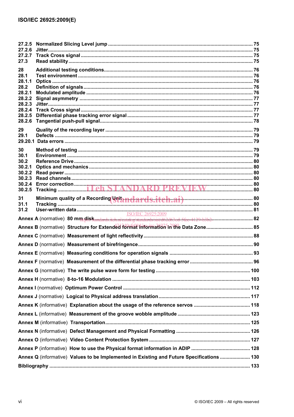| 27.2.5<br>27.2.6                                                                          |    |
|-------------------------------------------------------------------------------------------|----|
| 27.2.7                                                                                    |    |
| 27.3                                                                                      |    |
| 28                                                                                        |    |
| 28.1<br>28.1.1                                                                            |    |
| 28.2                                                                                      |    |
| 28.2.1<br>28.2.2                                                                          |    |
| 28.2.3                                                                                    |    |
|                                                                                           |    |
| 28.2.6                                                                                    |    |
| 29                                                                                        |    |
| 29.1                                                                                      |    |
|                                                                                           |    |
| 30<br>30.1                                                                                |    |
| 30.2                                                                                      |    |
| 30.2.1                                                                                    |    |
| 30.2.2<br>30.2.3                                                                          |    |
|                                                                                           |    |
|                                                                                           |    |
| 31                                                                                        |    |
| 31.1<br>31.2                                                                              |    |
| <b>ISO/IEC 26925:2009</b>                                                                 |    |
|                                                                                           |    |
|                                                                                           |    |
|                                                                                           |    |
|                                                                                           |    |
| Annex F (normative) Measurement of the differential phase tracking error                  | 96 |
|                                                                                           |    |
|                                                                                           |    |
|                                                                                           |    |
|                                                                                           |    |
|                                                                                           |    |
|                                                                                           |    |
|                                                                                           |    |
|                                                                                           |    |
|                                                                                           |    |
|                                                                                           |    |
| Annex Q (informative) Values to be Implemented in Existing and Future Specifications  130 |    |
|                                                                                           |    |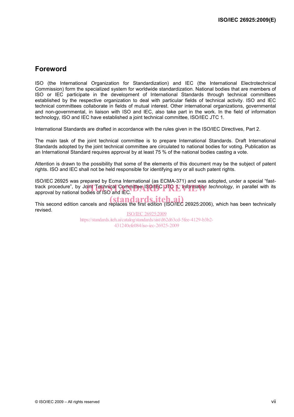## **Foreword**

ISO (the International Organization for Standardization) and IEC (the International Electrotechnical Commission) form the specialized system for worldwide standardization. National bodies that are members of ISO or IEC participate in the development of International Standards through technical committees established by the respective organization to deal with particular fields of technical activity. ISO and IEC technical committees collaborate in fields of mutual interest. Other international organizations, governmental and non-governmental, in liaison with ISO and IEC, also take part in the work. In the field of information technology, ISO and IEC have established a joint technical committee, ISO/IEC JTC 1.

International Standards are drafted in accordance with the rules given in the ISO/IEC Directives, Part 2.

The main task of the joint technical committee is to prepare International Standards. Draft International Standards adopted by the joint technical committee are circulated to national bodies for voting. Publication as an International Standard requires approval by at least 75 % of the national bodies casting a vote.

Attention is drawn to the possibility that some of the elements of this document may be the subject of patent rights. ISO and IEC shall not be held responsible for identifying any or all such patent rights.

ISO/IEC 26925 was prepared by Ecma International (as ECMA-371) and was adopted, under a special "fasttrack procedure", by Joint Technical Committee ISO/IEC DTO 1, *Information technology*, in parallel with its approvide to the its approvide to the its approvide to the its approvide to the its approvide to the its approvid approval by national bodies of ISO and IEC.

This second edition cancels and replaces the first edition (ISO/IEC 26925:2006), which has been technically revised.

ISO/IEC 26925:2009 https://standards.iteh.ai/catalog/standards/sist/d62d63cd-5fee-4129-b3b2- 431240efe084/iso-iec-26925-2009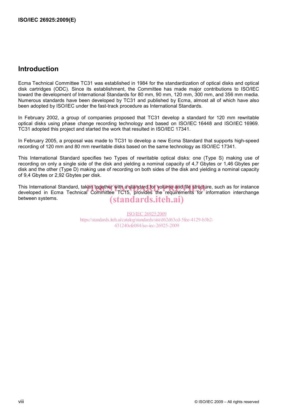### **Introduction**

Ecma Technical Committee TC31 was established in 1984 for the standardization of optical disks and optical disk cartridges (ODC). Since its establishment, the Committee has made major contributions to ISO/IEC toward the development of International Standards for 80 mm, 90 mm, 120 mm, 300 mm, and 356 mm media. Numerous standards have been developed by TC31 and published by Ecma, almost all of which have also been adopted by ISO/IEC under the fast-track procedure as International Standards.

In February 2002, a group of companies proposed that TC31 develop a standard for 120 mm rewritable optical disks using phase change recording technology and based on ISO/IEC 16448 and ISO/IEC 16969. TC31 adopted this project and started the work that resulted in ISO/IEC 17341.

In February 2005, a proposal was made to TC31 to develop a new Ecma Standard that supports high-speed recording of 120 mm and 80 mm rewritable disks based on the same technology as ISO/IEC 17341.

This International Standard specifies two Types of rewritable optical disks: one (Type S) making use of recording on only a single side of the disk and yielding a nominal capacity of 4,7 Gbytes or 1,46 Gbytes per disk and the other (Type D) making use of recording on both sides of the disk and yielding a nominal capacity of 9,4 Gbytes or 2,92 Gbytes per disk.

This International Standard, taken together with a standard for volume and file structure, such as for instance<br>developed in Ecma Technical Committee TC15, provides the requirements for information interchange developed in Ecma Technical Committee TC15, provides the requirements for information interchange between systems. (standards.iteh.ai)

> ISO/IEC 26925:2009 https://standards.iteh.ai/catalog/standards/sist/d62d63cd-5fee-4129-b3b2- 431240efe084/iso-iec-26925-2009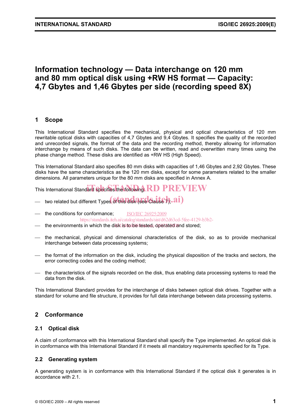## **Information technology — Data interchange on 120 mm and 80 mm optical disk using +RW HS format — Capacity: 4,7 Gbytes and 1,46 Gbytes per side (recording speed 8X)**

#### **1 Scope**

This International Standard specifies the mechanical, physical and optical characteristics of 120 mm rewritable optical disks with capacities of 4,7 Gbytes and 9,4 Gbytes. It specifies the quality of the recorded and unrecorded signals, the format of the data and the recording method, thereby allowing for information interchange by means of such disks. The data can be written, read and overwritten many times using the phase change method. These disks are identified as +RW HS (High Speed).

This International Standard also specifies 80 mm disks with capacities of 1,46 Gbytes and 2,92 Gbytes. These disks have the same characteristics as the 120 mm disks, except for some parameters related to the smaller dimensions. All parameters unique for the 80 mm disks are specified in Annex A.

This International Standard specifies the following:  $R$ D PREVIEW

- $-$  two related but different Types of this disk (see Clause  $h$ ,  ${\bf a i}$ )
- the conditions for conformance; ISO/IEC 26925:2009 https://standards.iteh.ai/catalog/standards/sist/d62d63cd-5fee-4129-b3b2-
- the environments in which the disk is to be tested, operated and stored;
- ⎯ the mechanical, physical and dimensional characteristics of the disk, so as to provide mechanical interchange between data processing systems;
- ⎯ the format of the information on the disk, including the physical disposition of the tracks and sectors, the error correcting codes and the coding method;
- the characteristics of the signals recorded on the disk, thus enabling data processing systems to read the data from the disk.

This International Standard provides for the interchange of disks between optical disk drives. Together with a standard for volume and file structure, it provides for full data interchange between data processing systems.

### **2 Conformance**

#### **2.1 Optical disk**

A claim of conformance with this International Standard shall specify the Type implemented. An optical disk is in conformance with this International Standard if it meets all mandatory requirements specified for its Type.

#### **2.2 Generating system**

A generating system is in conformance with this International Standard if the optical disk it generates is in accordance with 2.1.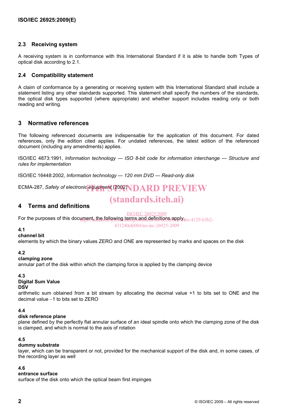#### **2.3 Receiving system**

A receiving system is in conformance with this International Standard if it is able to handle both Types of optical disk according to 2.1.

#### **2.4 Compatibility statement**

A claim of conformance by a generating or receiving system with this International Standard shall include a statement listing any other standards supported. This statement shall specify the numbers of the standards, the optical disk types supported (where appropriate) and whether support includes reading only or both reading and writing.

#### **3 Normative references**

The following referenced documents are indispensable for the application of this document. For dated references, only the edition cited applies. For undated references, the latest edition of the referenced document (including any amendments) applies.

ISO/IEC 4873:1991, *Information technology — ISO 8-bit code for information interchange — Structure and rules for implementation* 

ISO/IEC 16448:2002, *Information technology — 120 mm DVD — Read-only disk* 

ECMA-287, *Safety of electronic* equipment (2002) **IDARD PREVIEW** 

## (standards.iteh.ai)

#### **4 Terms and definitions**

ISO/IEC 26925:2009

For the purposes of this document, the following terms and definitions apply  $_{\rm{fee}\text{-}4129\text{-}b3b2\text{-}}$ 

431240efe084/iso-iec-26925-2009

#### **4.1**

#### **channel bit**

elements by which the binary values ZERO and ONE are represented by marks and spaces on the disk

#### **4.2**

#### **clamping zone**

annular part of the disk within which the clamping force is applied by the clamping device

#### **4.3**

#### **Digital Sum Value**

#### **DSV**

arithmetic sum obtained from a bit stream by allocating the decimal value +1 to bits set to ONE and the decimal value −1 to bits set to ZERO

#### **4.4**

#### **disk reference plane**

plane defined by the perfectly flat annular surface of an ideal spindle onto which the clamping zone of the disk is clamped, and which is normal to the axis of rotation

#### **4.5**

#### **dummy substrate**

layer, which can be transparent or not, provided for the mechanical support of the disk and, in some cases, of the recording layer as well

#### **4.6**

#### **entrance surface**

surface of the disk onto which the optical beam first impinges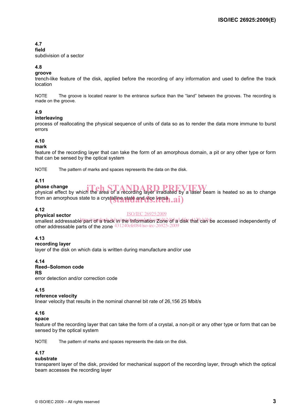### **4.7**

**field** 

subdivision of a sector

#### **4.8**

#### **groove**

trench-like feature of the disk, applied before the recording of any information and used to define the track location

NOTE The groove is located nearer to the entrance surface than the "land" between the grooves. The recording is made on the groove.

#### **4.9**

#### **interleaving**

process of reallocating the physical sequence of units of data so as to render the data more immune to burst errors

#### **4.10**

#### **mark**

feature of the recording layer that can take the form of an amorphous domain, a pit or any other type or form that can be sensed by the optical system

NOTE The pattern of marks and spaces represents the data on the disk.

#### **4.11**

## **phase change**

phase change<br>physical effect by which the area of a recording layer irradiated by a laser beam is heated so as to change from an amorphous state to a crystalling state and vice versen.  $\bm{ai})$ 

#### **4.12**

#### **physical sector**

ISO/IEC 26925:2009

smallest addressable thart on a track in the Information Zone of a disk that can be accessed independently of other addressable parts of the zone 431240efe084/iso-iec-26925-2009

#### **4.13**

#### **recording layer**

layer of the disk on which data is written during manufacture and/or use

#### **4.14**

## **Reed–Solomon code RS**

error detection and/or correction code

#### **4.15**

#### **reference velocity**

linear velocity that results in the nominal channel bit rate of 26,156 25 Mbit/s

#### **4.16**

#### **space**

feature of the recording layer that can take the form of a crystal, a non-pit or any other type or form that can be sensed by the optical system

NOTE The pattern of marks and spaces represents the data on the disk.

#### **4.17**

#### **substrate**

transparent layer of the disk, provided for mechanical support of the recording layer, through which the optical beam accesses the recording layer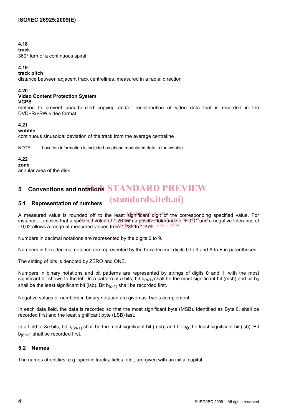#### **4.18**

**track** 

360° turn of a continuous spiral

#### **4.19**

**track pitch** 

distance between adjacent track centrelines, measured in a radial direction

#### **4.20**

#### **Video Content Protection System VCPS**

method to prevent unauthorized copying and/or redistribution of video data that is recorded in the DVD+R/+RW video format

#### **4.21**

#### **wobble**

continuous sinusoidal deviation of the track from the average centreline

NOTE Location information is included as phase modulated data in the wobble.

## **4.22**

**zone** 

annular area of the disk

## **5** Conventions and notations STANDARD PREVIEW

#### **5.1 Representation of numbers**  (standards.iteh.ai)

A measured value is rounded off to the least sightficant<sup>o</sup> digit<sup>on</sup>df the corresponding specified value. For instance, it implies that a specified value of ণ,26 with a positive tolerance of ‡ত,01 and a negative tolerance of - 0,02 allows a range of measured values from 14,285 to 14.527 4c-26925-2009

Numbers in decimal notations are represented by the digits 0 to 9.

Numbers in hexadecimal notation are represented by the hexadecimal digits 0 to 9 and A to F in parentheses.

The setting of bits is denoted by ZERO and ONE.

Numbers in binary notations and bit patterns are represented by strings of digits 0 and 1, with the most significant bit shown to the left. In a pattern of *n* bits, bit  $b_{(n-1)}$  shall be the most significant bit (msb) and bit  $b_0$ shall be the least significant bit (lsb). Bit  $b_{(n-1)}$  shall be recorded first.

Negative values of numbers in binary notation are given as Two's complement.

In each data field, the data is recorded so that the most significant byte (MSB), identified as Byte 0, shall be recorded first and the least significant byte (LSB) last.

In a field of 8*n* bits, bit  $b_{(8n-1)}$  shall be the most significant bit (msb) and bit  $b_0$  the least significant bit (lsb). Bit b(8*n*-1) shall be recorded first.

#### **5.2 Names**

The names of entities, e.g. specific tracks, fields, etc., are given with an initial capital.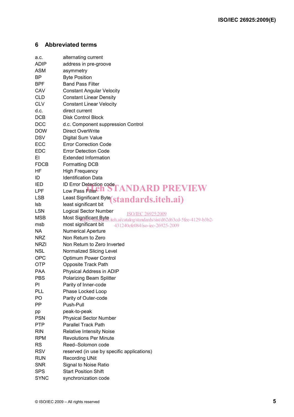### **6 Abbreviated terms**

| a.c.        | alternating current                                                              |
|-------------|----------------------------------------------------------------------------------|
| <b>ADIP</b> | address in pre-groove                                                            |
| <b>ASM</b>  | asymmetry                                                                        |
| ΒP          | <b>Byte Position</b>                                                             |
| <b>BPF</b>  | <b>Band Pass Filter</b>                                                          |
| CAV         | <b>Constant Angular Velocity</b>                                                 |
| <b>CLD</b>  | <b>Constant Linear Density</b>                                                   |
| <b>CLV</b>  | <b>Constant Linear Velocity</b>                                                  |
| d.c.        | direct current                                                                   |
| <b>DCB</b>  | <b>Disk Control Block</b>                                                        |
| <b>DCC</b>  | d.c. Component suppression Control                                               |
| <b>DOW</b>  | <b>Direct OverWrite</b>                                                          |
| <b>DSV</b>  | Digital Sum Value                                                                |
| ECC         | <b>Error Correction Code</b>                                                     |
| <b>EDC</b>  | <b>Error Detection Code</b>                                                      |
| EI.         | <b>Extended Information</b>                                                      |
| <b>FDCB</b> | <b>Formatting DCB</b>                                                            |
| HF          | <b>High Frequency</b>                                                            |
| ID          | <b>Identification Data</b>                                                       |
| IED         | ID Error Detection code                                                          |
| <b>LPF</b>  | 'ANDARD PREVIEW<br>Low Pass Filte <b>Cn</b>                                      |
| <b>LSB</b>  | Least Significant Byte(standards.iteh.ai)                                        |
| Isb         | least significant bit                                                            |
| <b>LSN</b>  | <b>Logical Sector Number</b><br><b>ISO/IEC 26925:2009</b>                        |
| <b>MSB</b>  | Most Significant Byte<br>iteh.ai/catalog/standards/sist/d62d63cd-5fee-4129-b3b2- |
| msb         | most significant bit<br>431240efe084/iso-iec-26925-2009                          |
| <b>NA</b>   | <b>Numerical Aperture</b>                                                        |
| <b>NRZ</b>  | Non Return to Zero                                                               |
| <b>NRZI</b> | Non Return to Zero Inverted                                                      |
| <b>NSL</b>  | Normalized Slicing Level                                                         |
| <b>OPC</b>  | <b>Optimum Power Control</b>                                                     |
| <b>OTP</b>  | Opposite Track Path                                                              |
| <b>PAA</b>  | Physical Address in ADIP                                                         |
| <b>PBS</b>  | Polarizing Beam Splitter                                                         |
| ΡI          | Parity of Inner-code                                                             |
| <b>PLL</b>  | Phase Locked Loop                                                                |
| PO          | Parity of Outer-code                                                             |
| <b>PP</b>   | Push-Pull                                                                        |
| pp          | peak-to-peak                                                                     |
| <b>PSN</b>  | <b>Physical Sector Number</b>                                                    |
| <b>PTP</b>  | <b>Parallel Track Path</b>                                                       |
| <b>RIN</b>  | <b>Relative Intensity Noise</b>                                                  |
| <b>RPM</b>  | <b>Revolutions Per Minute</b>                                                    |
| <b>RS</b>   | Reed-Solomon code                                                                |
| <b>RSV</b>  | reserved (in use by specific applications)                                       |
| <b>RUN</b>  | <b>Recording UNit</b>                                                            |
| <b>SNR</b>  | Signal to Noise Ratio                                                            |
| <b>SPS</b>  | <b>Start Position Shift</b>                                                      |
| <b>SYNC</b> | synchronization code                                                             |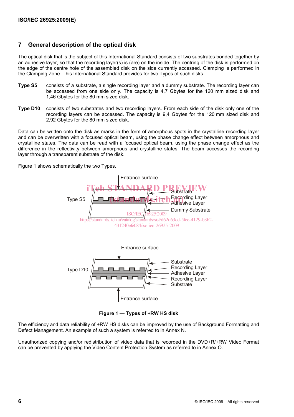### **7 General description of the optical disk**

The optical disk that is the subject of this International Standard consists of two substrates bonded together by an adhesive layer, so that the recording layer(s) is (are) on the inside. The centring of the disk is performed on the edge of the centre hole of the assembled disk on the side currently accessed. Clamping is performed in the Clamping Zone. This International Standard provides for two Types of such disks.

- **Type S5** consists of a substrate, a single recording layer and a dummy substrate. The recording layer can be accessed from one side only. The capacity is 4,7 Gbytes for the 120 mm sized disk and 1,46 Gbytes for the 80 mm sized disk.
- **Type D10** consists of two substrates and two recording layers. From each side of the disk only one of the recording layers can be accessed. The capacity is 9,4 Gbytes for the 120 mm sized disk and 2,92 Gbytes for the 80 mm sized disk.

Data can be written onto the disk as marks in the form of amorphous spots in the crystalline recording layer and can be overwritten with a focused optical beam, using the phase change effect between amorphous and crystalline states. The data can be read with a focused optical beam, using the phase change effect as the difference in the reflectivity between amorphous and crystalline states. The beam accesses the recording layer through a transparent substrate of the disk.

Figure 1 shows schematically the two Types.



**Figure 1 — Types of +RW HS disk** 

The efficiency and data reliability of +RW HS disks can be improved by the use of Background Formatting and Defect Management. An example of such a system is referred to in Annex N.

Unauthorized copying and/or redistribution of video data that is recorded in the DVD+R/+RW Video Format can be prevented by applying the Video Content Protection System as referred to in Annex O.